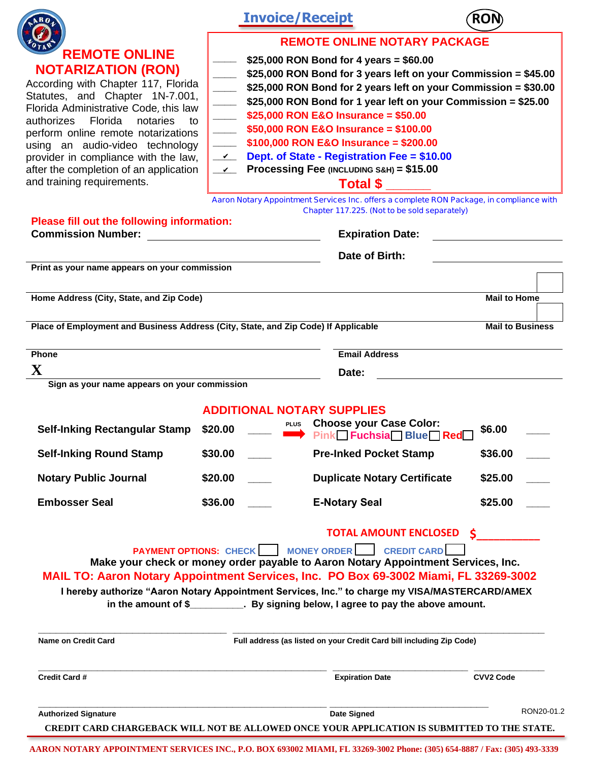|                                                                                             | <b>Invoice/Receipt</b>                   |                                                                                                | ROI                     |  |
|---------------------------------------------------------------------------------------------|------------------------------------------|------------------------------------------------------------------------------------------------|-------------------------|--|
|                                                                                             | <b>REMOTE ONLINE NOTARY PACKAGE</b>      |                                                                                                |                         |  |
| <b>REMOTE ONLINE</b>                                                                        | \$25,000 RON Bond for 4 years = $$60.00$ |                                                                                                |                         |  |
| <b>NOTARIZATION (RON)</b>                                                                   |                                          | \$25,000 RON Bond for 3 years left on your Commission = \$45.00                                |                         |  |
| According with Chapter 117, Florida                                                         |                                          | \$25,000 RON Bond for 2 years left on your Commission = \$30.00                                |                         |  |
| Statutes, and Chapter 1N-7.001,                                                             |                                          | \$25,000 RON Bond for 1 year left on your Commission = \$25.00                                 |                         |  |
| Florida Administrative Code, this law                                                       |                                          | \$25,000 RON E&O Insurance = $$50.00$                                                          |                         |  |
| notaries<br>authorizes<br>Florida<br>to                                                     |                                          | \$50,000 RON E&O Insurance = \$100.00                                                          |                         |  |
| perform online remote notarizations<br>using an audio-video technology                      |                                          | \$100,000 RON E&O Insurance = \$200.00                                                         |                         |  |
| provider in compliance with the law,                                                        | $\mathbf{v}$                             | Dept. of State - Registration Fee = \$10.00                                                    |                         |  |
| after the completion of an application                                                      | $\mathcal{Y}$                            | Processing Fee (INCLUDING S&H) = \$15.00                                                       |                         |  |
| and training requirements.                                                                  |                                          | <b>Total \$</b>                                                                                |                         |  |
|                                                                                             |                                          | Aaron Notary Appointment Services Inc. offers a complete RON Package, in compliance with       |                         |  |
| Please fill out the following information:                                                  |                                          | Chapter 117.225. (Not to be sold separately)                                                   |                         |  |
| <b>Commission Number:</b>                                                                   |                                          | <b>Expiration Date:</b>                                                                        |                         |  |
|                                                                                             |                                          | Date of Birth:                                                                                 |                         |  |
| Print as your name appears on your commission                                               |                                          |                                                                                                |                         |  |
|                                                                                             |                                          |                                                                                                |                         |  |
| Home Address (City, State, and Zip Code)                                                    |                                          |                                                                                                | <b>Mail to Home</b>     |  |
| Place of Employment and Business Address (City, State, and Zip Code) If Applicable          |                                          |                                                                                                | <b>Mail to Business</b> |  |
| Phone                                                                                       |                                          | <b>Email Address</b>                                                                           |                         |  |
| $\mathbf X$                                                                                 |                                          | Date:                                                                                          |                         |  |
| Sign as your name appears on your commission                                                |                                          |                                                                                                |                         |  |
|                                                                                             | <b>ADDITIONAL NOTARY SUPPLIES</b>        |                                                                                                |                         |  |
| <b>Self-Inking Rectangular Stamp</b>                                                        | \$20.00                                  | PLUS Choose your Case Color:                                                                   | \$6.00                  |  |
|                                                                                             |                                          | Pink Fuchsia Blue Red                                                                          |                         |  |
| <b>Self-Inking Round Stamp</b>                                                              | \$30.00                                  | <b>Pre-Inked Pocket Stamp</b>                                                                  | \$36.00                 |  |
| <b>Notary Public Journal</b>                                                                | \$20.00                                  | <b>Duplicate Notary Certificate</b>                                                            | \$25.00                 |  |
| <b>Embosser Seal</b>                                                                        | \$36.00                                  | <b>E-Notary Seal</b>                                                                           | \$25.00                 |  |
|                                                                                             |                                          | <b>TOTAL AMOUNT ENCLOSED \$</b>                                                                |                         |  |
|                                                                                             |                                          | <b>PAYMENT OPTIONS: CHECK   MONEY ORDER   CREDIT CARD</b>                                      |                         |  |
|                                                                                             |                                          | Make your check or money order payable to Aaron Notary Appointment Services, Inc.              |                         |  |
| MAIL TO: Aaron Notary Appointment Services, Inc. PO Box 69-3002 Miami, FL 33269-3002        |                                          |                                                                                                |                         |  |
|                                                                                             |                                          | I hereby authorize "Aaron Notary Appointment Services, Inc." to charge my VISA/MASTERCARD/AMEX |                         |  |
|                                                                                             |                                          | in the amount of \$___________. By signing below, I agree to pay the above amount.             |                         |  |
|                                                                                             |                                          |                                                                                                |                         |  |
| <b>Name on Credit Card</b>                                                                  |                                          | Full address (as listed on your Credit Card bill including Zip Code)                           |                         |  |
|                                                                                             |                                          |                                                                                                |                         |  |
| <b>Credit Card #</b>                                                                        |                                          | <b>Expiration Date</b>                                                                         | <b>CVV2 Code</b>        |  |
| <b>Authorized Signature</b>                                                                 |                                          | Date Signed                                                                                    | RON20-01.2              |  |
| CREDIT CARD CHARGEBACK WILL NOT BE ALLOWED ONCE YOUR APPLICATION IS SUBMITTED TO THE STATE. |                                          |                                                                                                |                         |  |

**AARON NOTARY APPOINTMENT SERVICES INC., P.O. BOX 693002 MIAMI, FL 33269-3002 Phone: (305) 654-8887 / Fax: (305) 493-3339**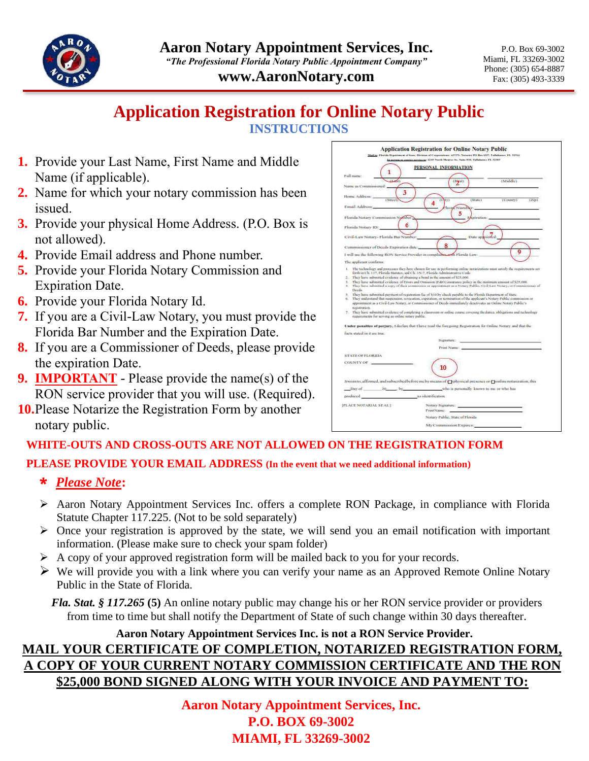

**www.AaronNotary.com**

P.O. Box 69-3002 Miami, FL 33269-3002 Phone: (305) 654-8887 Fax: (305) 493-3339

## **Application Registration for Online Notary Public INSTRUCTIONS**

- **1.** Provide your Last Name, First Name and Middle Name (if applicable).
- **2.** Name for which your notary commission has been issued.
- **3.** Provide your physical Home Address. (P.O. Box is not allowed).
- **4.** Provide Email address and Phone number.
- **5.** Provide your Florida Notary Commission and Expiration Date.
- **6.** Provide your Florida Notary Id.
- **7.** If you are a Civil-Law Notary, you must provide the Florida Bar Number and the Expiration Date.
- **8.** If you are a Commissioner of Deeds, please provide the expiration Date.
- **9. IMPORTANT** Please provide the name(s) of the RON service provider that you will use. (Required).
- **10.**Please Notarize the Registration Form by another notary public.

|                                                                                                                                                                                                                                | PERSONAL INFORMATION                                                                                                                                                                                                                                                                                                                                                                                                                                                                                                                                                                                                                                                                                                                    |
|--------------------------------------------------------------------------------------------------------------------------------------------------------------------------------------------------------------------------------|-----------------------------------------------------------------------------------------------------------------------------------------------------------------------------------------------------------------------------------------------------------------------------------------------------------------------------------------------------------------------------------------------------------------------------------------------------------------------------------------------------------------------------------------------------------------------------------------------------------------------------------------------------------------------------------------------------------------------------------------|
| 1<br>Full name:<br>$1 - 1$                                                                                                                                                                                                     | (Maddle)<br>(breat)                                                                                                                                                                                                                                                                                                                                                                                                                                                                                                                                                                                                                                                                                                                     |
| Name as Commissioned:                                                                                                                                                                                                          |                                                                                                                                                                                                                                                                                                                                                                                                                                                                                                                                                                                                                                                                                                                                         |
|                                                                                                                                                                                                                                |                                                                                                                                                                                                                                                                                                                                                                                                                                                                                                                                                                                                                                                                                                                                         |
| Home Address:<br>(Street)                                                                                                                                                                                                      | $(324 \times 1)$<br>$(Ccountv)$ $(Zin)$<br>ity)                                                                                                                                                                                                                                                                                                                                                                                                                                                                                                                                                                                                                                                                                         |
| Email Address:                                                                                                                                                                                                                 | home Number                                                                                                                                                                                                                                                                                                                                                                                                                                                                                                                                                                                                                                                                                                                             |
| Plorida Notary Commission Namber                                                                                                                                                                                               | kanizations:                                                                                                                                                                                                                                                                                                                                                                                                                                                                                                                                                                                                                                                                                                                            |
| 6                                                                                                                                                                                                                              |                                                                                                                                                                                                                                                                                                                                                                                                                                                                                                                                                                                                                                                                                                                                         |
| Plorida Notary ID:                                                                                                                                                                                                             |                                                                                                                                                                                                                                                                                                                                                                                                                                                                                                                                                                                                                                                                                                                                         |
| Civil-Law Notary- Plorida Bar Number.                                                                                                                                                                                          | Date appointed                                                                                                                                                                                                                                                                                                                                                                                                                                                                                                                                                                                                                                                                                                                          |
| Commissioner of Decde Expiration dates.                                                                                                                                                                                        |                                                                                                                                                                                                                                                                                                                                                                                                                                                                                                                                                                                                                                                                                                                                         |
|                                                                                                                                                                                                                                | g<br>I will use the following RON Service Provider in compliance and Plorida Law-                                                                                                                                                                                                                                                                                                                                                                                                                                                                                                                                                                                                                                                       |
| The archeant confirms:                                                                                                                                                                                                         |                                                                                                                                                                                                                                                                                                                                                                                                                                                                                                                                                                                                                                                                                                                                         |
|                                                                                                                                                                                                                                | 1. The technology and processes they have chosen for use in performing ordow notarizations must satisfy the requirements set                                                                                                                                                                                                                                                                                                                                                                                                                                                                                                                                                                                                            |
| 2. They have infrastfed evidence of obtaining a bond in the amount of \$25,000.<br>2.<br>Deeds.<br>n.<br>economican.<br>$\sigma$ .<br>requirements for serving as online todayy public.                                        | They larse rubmitted evidence of Errors and Omission (EdG) insurance policy in the mostum amount of \$25,000.<br>4. They have submitted a copy of their commission or appointment as a Notary Public, Civil-Law Notary, or Commissioner of<br>5. They have submitted payment of registration fee of \$10 by check payable to the Plottida Department of State.<br>They understand that suspension, revocation, expiration, or termination of the applicant's Notary Public commission or<br>appointment as a Civil-Law Netury, or Commissioneer of Deeds interestintely desetivates an Online Notary Public's<br>They have inhitited evidence of completing a classroom or online emuse covering the datics, obligations and technology |
|                                                                                                                                                                                                                                | Under penalties of perjury, 1 declare that 1 have read the foregoing Registration for Online Notary and that the                                                                                                                                                                                                                                                                                                                                                                                                                                                                                                                                                                                                                        |
| facts stated in it are frue.                                                                                                                                                                                                   |                                                                                                                                                                                                                                                                                                                                                                                                                                                                                                                                                                                                                                                                                                                                         |
|                                                                                                                                                                                                                                | the contract of the contract of the contract of<br>Signialure<br>Frist Name: 2000 and 2000 and 2000                                                                                                                                                                                                                                                                                                                                                                                                                                                                                                                                                                                                                                     |
|                                                                                                                                                                                                                                |                                                                                                                                                                                                                                                                                                                                                                                                                                                                                                                                                                                                                                                                                                                                         |
| STATE OF PLOKED.                                                                                                                                                                                                               |                                                                                                                                                                                                                                                                                                                                                                                                                                                                                                                                                                                                                                                                                                                                         |
| COUNTY OF                                                                                                                                                                                                                      | 10                                                                                                                                                                                                                                                                                                                                                                                                                                                                                                                                                                                                                                                                                                                                      |
|                                                                                                                                                                                                                                | Swornto, affirmed, and subscribed before me by means of @physical presence or @onlinenotarization, this                                                                                                                                                                                                                                                                                                                                                                                                                                                                                                                                                                                                                                 |
|                                                                                                                                                                                                                                | Day of 20 by who is personally known to me or who has                                                                                                                                                                                                                                                                                                                                                                                                                                                                                                                                                                                                                                                                                   |
| produced a submitted and a submitted and a submitted and a submitted and a submitted and a submitted and a submitted and a submitted and a submitted and a submitted and a submitted and a submitted and a submitted and a sub |                                                                                                                                                                                                                                                                                                                                                                                                                                                                                                                                                                                                                                                                                                                                         |
|                                                                                                                                                                                                                                |                                                                                                                                                                                                                                                                                                                                                                                                                                                                                                                                                                                                                                                                                                                                         |
|                                                                                                                                                                                                                                |                                                                                                                                                                                                                                                                                                                                                                                                                                                                                                                                                                                                                                                                                                                                         |
| IFLACE NOTARIAL SEAL1                                                                                                                                                                                                          | Notary Signature: Notary Signature:<br>FrintName                                                                                                                                                                                                                                                                                                                                                                                                                                                                                                                                                                                                                                                                                        |
|                                                                                                                                                                                                                                | Notary Pablic, State of Piorida                                                                                                                                                                                                                                                                                                                                                                                                                                                                                                                                                                                                                                                                                                         |

## **WHITE-OUTS AND CROSS-OUTS ARE NOT ALLOWED ON THE REGISTRATION FORM**

**PLEASE PROVIDE YOUR EMAIL ADDRESS (In the event that we need additional information)**

- \* *Please Note***:**
- ➢ Aaron Notary Appointment Services Inc. offers a complete RON Package, in compliance with Florida Statute Chapter 117.225. (Not to be sold separately)
- ➢ Once your registration is approved by the state, we will send you an email notification with important information. (Please make sure to check your spam folder)
- ➢ A copy of your approved registration form will be mailed back to you for your records.
- $\triangleright$  We will provide you with a link where you can verify your name as an Approved Remote Online Notary Public in the State of Florida.

*Fla. Stat. § 117.265* **(5)** An online notary public may change his or her RON service provider or providers from time to time but shall notify the Department of State of such change within 30 days thereafter.

#### **Aaron Notary Appointment Services Inc. is not a RON Service Provider.**

# **MAIL YOUR CERTIFICATE OF COMPLETION, NOTARIZED REGISTRATION FORM, A COPY OF YOUR CURRENT NOTARY COMMISSION CERTIFICATE AND THE RON \$25,000 BOND SIGNED ALONG WITH YOUR INVOICE AND PAYMENT TO:**

**Aaron Notary Appointment Services, Inc. P.O. BOX 69-3002 MIAMI, FL 33269-3002**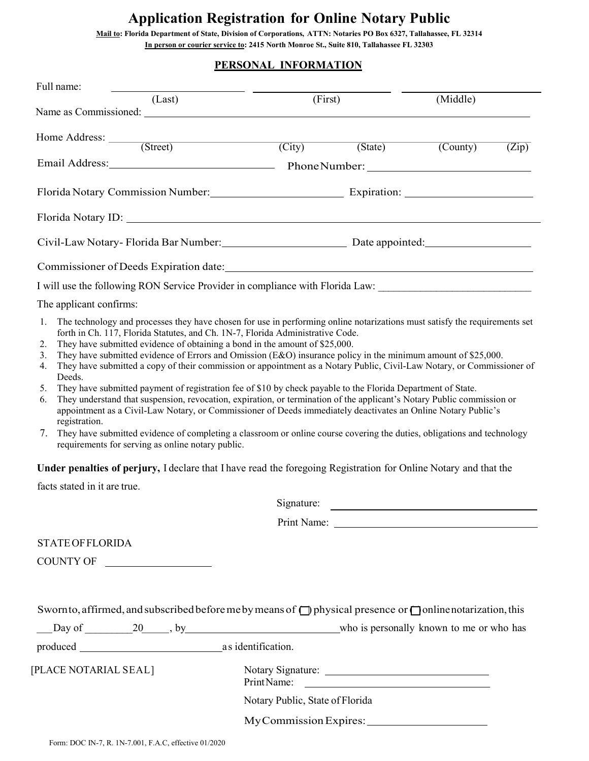# **Application Registration for Online Notary Public**

**Mail to: Florida Department of State, Division of Corporations, ATTN: Notaries PO Box 6327, Tallahassee, FL 32314 In person or courier service to: 2415 North Monroe St., Suite 810, Tallahassee FL 32303** 

#### **PERSONAL INFORMATION**

| Full name:                                                                                                                                                                                                                                                                                                                                                                                                                                                                                                                                                                                                                                                                                                                                                                                                                                                                                                                                                                                                                                                                                                                                                               |                                 |         |                        |       |
|--------------------------------------------------------------------------------------------------------------------------------------------------------------------------------------------------------------------------------------------------------------------------------------------------------------------------------------------------------------------------------------------------------------------------------------------------------------------------------------------------------------------------------------------------------------------------------------------------------------------------------------------------------------------------------------------------------------------------------------------------------------------------------------------------------------------------------------------------------------------------------------------------------------------------------------------------------------------------------------------------------------------------------------------------------------------------------------------------------------------------------------------------------------------------|---------------------------------|---------|------------------------|-------|
| (Last)                                                                                                                                                                                                                                                                                                                                                                                                                                                                                                                                                                                                                                                                                                                                                                                                                                                                                                                                                                                                                                                                                                                                                                   | (First)                         |         | (Middle)               |       |
| Home Address: <u>(Street)</u>                                                                                                                                                                                                                                                                                                                                                                                                                                                                                                                                                                                                                                                                                                                                                                                                                                                                                                                                                                                                                                                                                                                                            | $\overline{(City)}$             | (State) | $\overline{(Country)}$ | (Zip) |
| Email Address: Phone Number: 2003                                                                                                                                                                                                                                                                                                                                                                                                                                                                                                                                                                                                                                                                                                                                                                                                                                                                                                                                                                                                                                                                                                                                        |                                 |         |                        |       |
| Florida Notary Commission Number: Expiration: Expiration: 2001                                                                                                                                                                                                                                                                                                                                                                                                                                                                                                                                                                                                                                                                                                                                                                                                                                                                                                                                                                                                                                                                                                           |                                 |         |                        |       |
| Florida Notary ID: Notary 10: Notary 10: Notary 10: Notary 10: Notary 10: Notary 10: Notary 10: Notary 10: Notary 10: Notary 10: Notary 10: Notary 10: Notary 10: Notary 10: Notary 10: Notary 10: Notary 10: Notary 10: Notar                                                                                                                                                                                                                                                                                                                                                                                                                                                                                                                                                                                                                                                                                                                                                                                                                                                                                                                                           |                                 |         |                        |       |
| Civil-Law Notary-Florida Bar Number: Date appointed: Date appointed:                                                                                                                                                                                                                                                                                                                                                                                                                                                                                                                                                                                                                                                                                                                                                                                                                                                                                                                                                                                                                                                                                                     |                                 |         |                        |       |
|                                                                                                                                                                                                                                                                                                                                                                                                                                                                                                                                                                                                                                                                                                                                                                                                                                                                                                                                                                                                                                                                                                                                                                          |                                 |         |                        |       |
| I will use the following RON Service Provider in compliance with Florida Law:                                                                                                                                                                                                                                                                                                                                                                                                                                                                                                                                                                                                                                                                                                                                                                                                                                                                                                                                                                                                                                                                                            |                                 |         |                        |       |
| The applicant confirms:                                                                                                                                                                                                                                                                                                                                                                                                                                                                                                                                                                                                                                                                                                                                                                                                                                                                                                                                                                                                                                                                                                                                                  |                                 |         |                        |       |
| forth in Ch. 117, Florida Statutes, and Ch. 1N-7, Florida Administrative Code.<br>They have submitted evidence of obtaining a bond in the amount of \$25,000.<br>2.<br>They have submitted evidence of Errors and Omission $(E&O)$ insurance policy in the minimum amount of \$25,000.<br>3.<br>They have submitted a copy of their commission or appointment as a Notary Public, Civil-Law Notary, or Commissioner of<br>4.<br>Deeds.<br>They have submitted payment of registration fee of \$10 by check payable to the Florida Department of State.<br>5.<br>They understand that suspension, revocation, expiration, or termination of the applicant's Notary Public commission or<br>6.<br>appointment as a Civil-Law Notary, or Commissioner of Deeds immediately deactivates an Online Notary Public's<br>registration.<br>They have submitted evidence of completing a classroom or online course covering the duties, obligations and technology<br>7.<br>requirements for serving as online notary public.<br>Under penalties of perjury, I declare that I have read the foregoing Registration for Online Notary and that the<br>facts stated in it are true. |                                 |         |                        |       |
|                                                                                                                                                                                                                                                                                                                                                                                                                                                                                                                                                                                                                                                                                                                                                                                                                                                                                                                                                                                                                                                                                                                                                                          | Signature:                      |         |                        |       |
|                                                                                                                                                                                                                                                                                                                                                                                                                                                                                                                                                                                                                                                                                                                                                                                                                                                                                                                                                                                                                                                                                                                                                                          |                                 |         |                        |       |
| <b>STATE OF FLORIDA</b>                                                                                                                                                                                                                                                                                                                                                                                                                                                                                                                                                                                                                                                                                                                                                                                                                                                                                                                                                                                                                                                                                                                                                  |                                 |         |                        |       |
| COUNTY OF                                                                                                                                                                                                                                                                                                                                                                                                                                                                                                                                                                                                                                                                                                                                                                                                                                                                                                                                                                                                                                                                                                                                                                |                                 |         |                        |       |
| Sworn to, affirmed, and subscribed before me by means of $\Box$ physical presence or $\Box$ online notarization, this                                                                                                                                                                                                                                                                                                                                                                                                                                                                                                                                                                                                                                                                                                                                                                                                                                                                                                                                                                                                                                                    |                                 |         |                        |       |
| [PLACE NOTARIAL SEAL]                                                                                                                                                                                                                                                                                                                                                                                                                                                                                                                                                                                                                                                                                                                                                                                                                                                                                                                                                                                                                                                                                                                                                    |                                 |         |                        |       |
|                                                                                                                                                                                                                                                                                                                                                                                                                                                                                                                                                                                                                                                                                                                                                                                                                                                                                                                                                                                                                                                                                                                                                                          | Print Name:                     |         |                        |       |
|                                                                                                                                                                                                                                                                                                                                                                                                                                                                                                                                                                                                                                                                                                                                                                                                                                                                                                                                                                                                                                                                                                                                                                          | Notary Public, State of Florida |         |                        |       |
|                                                                                                                                                                                                                                                                                                                                                                                                                                                                                                                                                                                                                                                                                                                                                                                                                                                                                                                                                                                                                                                                                                                                                                          |                                 |         |                        |       |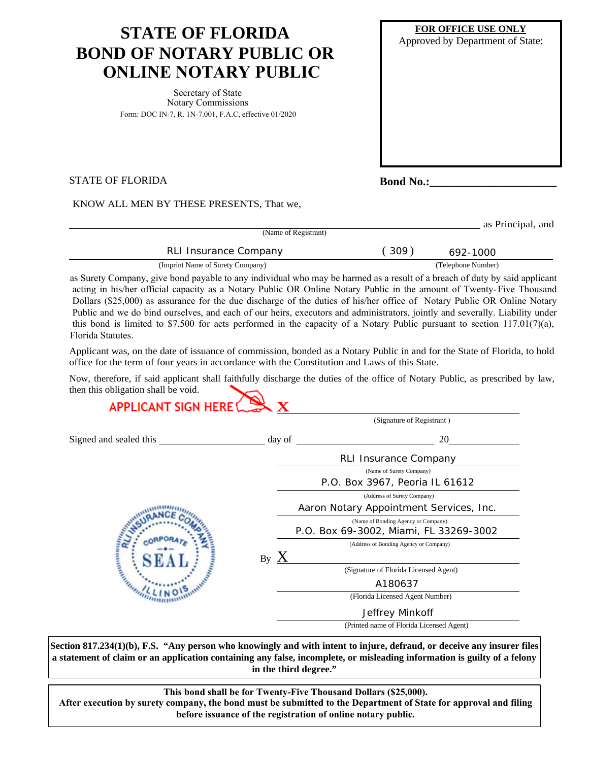# **STATE OF FLORIDA BOND OF NOTARY PUBLIC OR ONLINE NOTARY PUBLIC**

Secretary of State Notary Commissions Form: DOC IN-7, R. 1N-7.001, F.A.C, effective 01/2020

| FOR OFFICE USE ONLY<br>Approved by Department of State: |  |  |  |  |
|---------------------------------------------------------|--|--|--|--|
|                                                         |  |  |  |  |
|                                                         |  |  |  |  |
|                                                         |  |  |  |  |
|                                                         |  |  |  |  |

STATE OF FLORIDA

**Bond No.:** 

KNOW ALL MEN BY THESE PRESENTS, That we,

| (Name of Registrant)             |      | as Principal, and  |
|----------------------------------|------|--------------------|
| RLI Insurance Company            | 309) | 692-1000           |
| (Imprint Name of Surety Company) |      | (Telephone Number) |

as Surety Company, give bond payable to any individual who may be harmed as <sup>a</sup> result of <sup>a</sup> breach of duty by said applicant acting in his/her official capacity as <sup>a</sup> Notary Public OR Online Notary Public in the amount of Twenty-Five Thousand Dollars (\$25,000) as assurance for the due discharge of the duties of his/her office of Notary Public OR Online Notary Public and we do bind ourselves, and each of our heirs, executors and administrators, jointly and severally. Liability under this bond is limited to \$7,500 for acts performed in the capacity of a Notary Public pursuant to section  $117.01(7)(a)$ , Florida Statutes.

Applicant was, on the date of issuance of commission, bonded as a Notary Public in and for the State of Florida, to hold office for the term of four years in accordance with the Constitution and Laws of this State.

Now, therefore, if said applicant shall faithfully discharge the duties of the office of Notary Public, as prescribed by law, then this obligation shall be void.<br> **APPLICANT SIGN HEPE OF** 

|                         |               | (Signature of Registrant)                |
|-------------------------|---------------|------------------------------------------|
| Signed and sealed this  | day of        | 20                                       |
|                         |               | <b>RLI Insurance Company</b>             |
|                         |               | (Name of Surety Company)                 |
|                         |               | P.O. Box 3967, Peoria IL 61612           |
|                         |               | (Address of Surety Company)              |
|                         |               | Aaron Notary Appointment Services, Inc.  |
|                         |               | (Name of Bonding Agency or Company)      |
|                         |               | P.O. Box 69-3002, Miami, FL 33269-3002   |
|                         |               | (Address of Bonding Agency or Company)   |
| <b>COMMUNISTICATION</b> | $_{\rm By}$ X |                                          |
|                         |               | (Signature of Florida Licensed Agent)    |
|                         |               | A180637                                  |
|                         |               | (Florida Licensed Agent Number)          |
|                         |               | Jeffrey Minkoff                          |
|                         |               | (Printed name of Florida Licensed Agent) |

**Section 817.234(1)(b), F.S. "Any person who knowingly and with intent to injure, defraud, or deceive any insurer files a statement of claim or an application containing any false, incomplete, or misleading information is guilty of a felony in the third degree."** 

**This bond shall be for Twenty-Five Thousand Dollars (\$25,000). After execution by surety company, the bond must be submitted to the Department of State for approval and filing before issuance of the registration of online notary public.**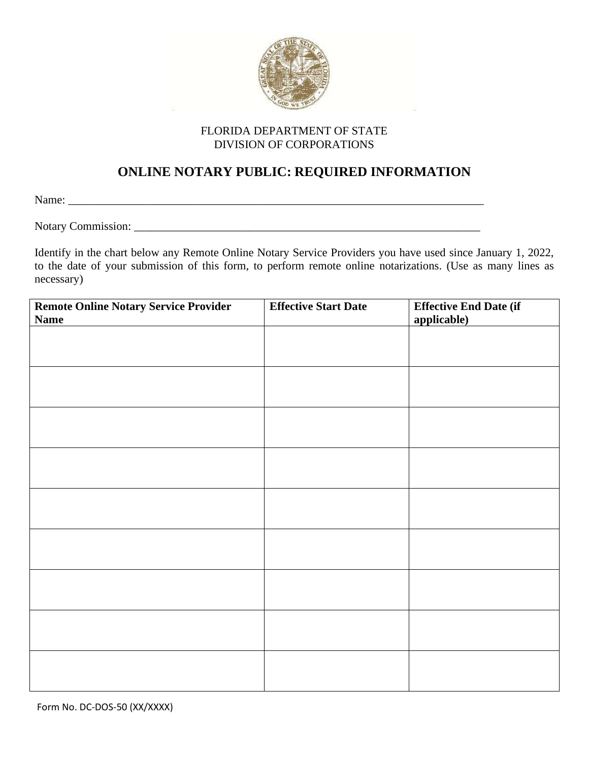

#### FLORIDA DEPARTMENT OF STATE DIVISION OF CORPORATIONS

### **ONLINE NOTARY PUBLIC: REQUIRED INFORMATION**

Name:

Notary Commission: \_\_\_\_\_\_\_\_\_\_\_\_\_\_\_\_\_\_\_\_\_\_\_\_\_\_\_\_\_\_\_\_\_\_\_\_\_\_\_\_\_\_\_\_\_\_\_\_\_\_\_\_\_\_\_\_\_\_\_\_

Identify in the chart below any Remote Online Notary Service Providers you have used since January 1, 2022, to the date of your submission of this form, to perform remote online notarizations. (Use as many lines as necessary)

| <b>Remote Online Notary Service Provider</b><br><b>Name</b> | <b>Effective Start Date</b> | <b>Effective End Date (if</b><br>applicable) |
|-------------------------------------------------------------|-----------------------------|----------------------------------------------|
|                                                             |                             |                                              |
|                                                             |                             |                                              |
|                                                             |                             |                                              |
|                                                             |                             |                                              |
|                                                             |                             |                                              |
|                                                             |                             |                                              |
|                                                             |                             |                                              |
|                                                             |                             |                                              |
|                                                             |                             |                                              |
|                                                             |                             |                                              |
|                                                             |                             |                                              |
|                                                             |                             |                                              |
|                                                             |                             |                                              |
|                                                             |                             |                                              |
|                                                             |                             |                                              |
|                                                             |                             |                                              |
|                                                             |                             |                                              |